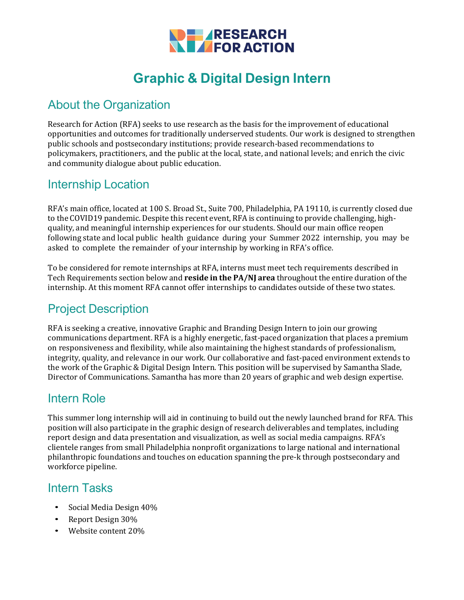

# **Graphic & Digital Design Intern**

### About the Organization

Research for Action (RFA) seeks to use research as the basis for the improvement of educational opportunities and outcomes for traditionally underserved students. Our work is designed to strengthen public schools and postsecondary institutions; provide research-based recommendations to policymakers, practitioners, and the public at the local, state, and national levels; and enrich the civic and community dialogue about public education.

#### Internship Location

RFA's main office, located at 100 S. Broad St., Suite 700, Philadelphia, PA 19110, is currently closed due to the COVID19 pandemic. Despite this recent event, RFA is continuing to provide challenging, highquality, and meaningful internship experiences for our students. Should our main office reopen following state and local public health guidance during your Summer 2022 internship, you may be asked to complete the remainder of your internship by working in RFA's office.

To be considered for remote internships at RFA, interns must meet tech requirements described in Tech Requirements section below and **reside in the PA/NJ area** throughout the entire duration of the internship. At this moment RFA cannot offer internships to candidates outside of these two states.

### Project Description

RFA is seeking a creative, innovative Graphic and Branding Design Intern to join our growing communications department. RFA is a highly energetic, fast-paced organization that places a premium on responsiveness and flexibility, while also maintaining the highest standards of professionalism, integrity, quality, and relevance in our work. Our collaborative and fast-paced environment extends to the work of the Graphic & Digital Design Intern. This position will be supervised by Samantha Slade, Director of Communications. Samantha has more than 20 years of graphic and web design expertise.

#### Intern Role

This summer long internship will aid in continuing to build out the newly launched brand for RFA. This position will also participate in the graphic design of research deliverables and templates, including report design and data presentation and visualization, as well as social media campaigns. RFA's clientele ranges from small Philadelphia nonprofit organizations to large national and international philanthropic foundations and touches on education spanning the pre-k through postsecondary and workforce pipeline.

#### Intern Tasks

- Social Media Design 40%
- Report Design 30%
- Website content 20%